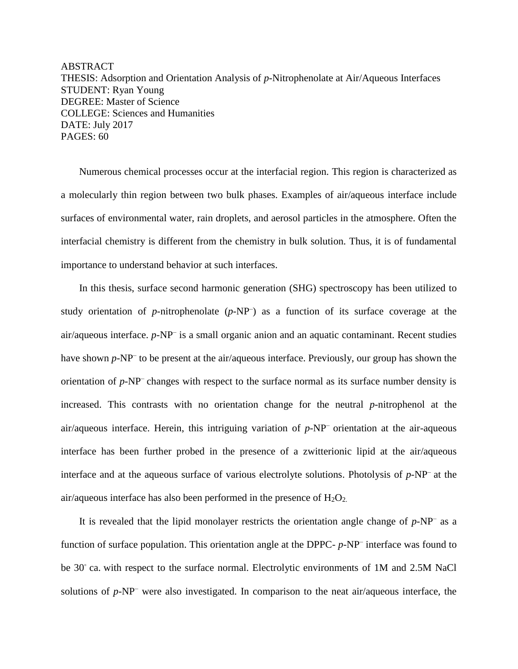ABSTRACT THESIS: Adsorption and Orientation Analysis of *p*-Nitrophenolate at Air/Aqueous Interfaces STUDENT: Ryan Young DEGREE: Master of Science COLLEGE: Sciences and Humanities DATE: July 2017 PAGES: 60

Numerous chemical processes occur at the interfacial region. This region is characterized as a molecularly thin region between two bulk phases. Examples of air/aqueous interface include surfaces of environmental water, rain droplets, and aerosol particles in the atmosphere. Often the interfacial chemistry is different from the chemistry in bulk solution. Thus, it is of fundamental importance to understand behavior at such interfaces.

In this thesis, surface second harmonic generation (SHG) spectroscopy has been utilized to study orientation of  $p$ -nitrophenolate  $(p-NP)$  as a function of its surface coverage at the air/aqueous interface. *p*-NP– is a small organic anion and an aquatic contaminant. Recent studies have shown *p*-NP<sup>-</sup> to be present at the air/aqueous interface. Previously, our group has shown the orientation of *p*-NP– changes with respect to the surface normal as its surface number density is increased. This contrasts with no orientation change for the neutral *p*-nitrophenol at the air/aqueous interface. Herein, this intriguing variation of *p*-NP– orientation at the air-aqueous interface has been further probed in the presence of a zwitterionic lipid at the air/aqueous interface and at the aqueous surface of various electrolyte solutions. Photolysis of *p*-NP– at the air/aqueous interface has also been performed in the presence of  $H_2O_2$ .

It is revealed that the lipid monolayer restricts the orientation angle change of *p*-NP– as a function of surface population. This orientation angle at the DPPC- *p*-NP– interface was found to be 30° ca. with respect to the surface normal. Electrolytic environments of 1M and 2.5M NaCl solutions of *p*-NP– were also investigated. In comparison to the neat air/aqueous interface, the